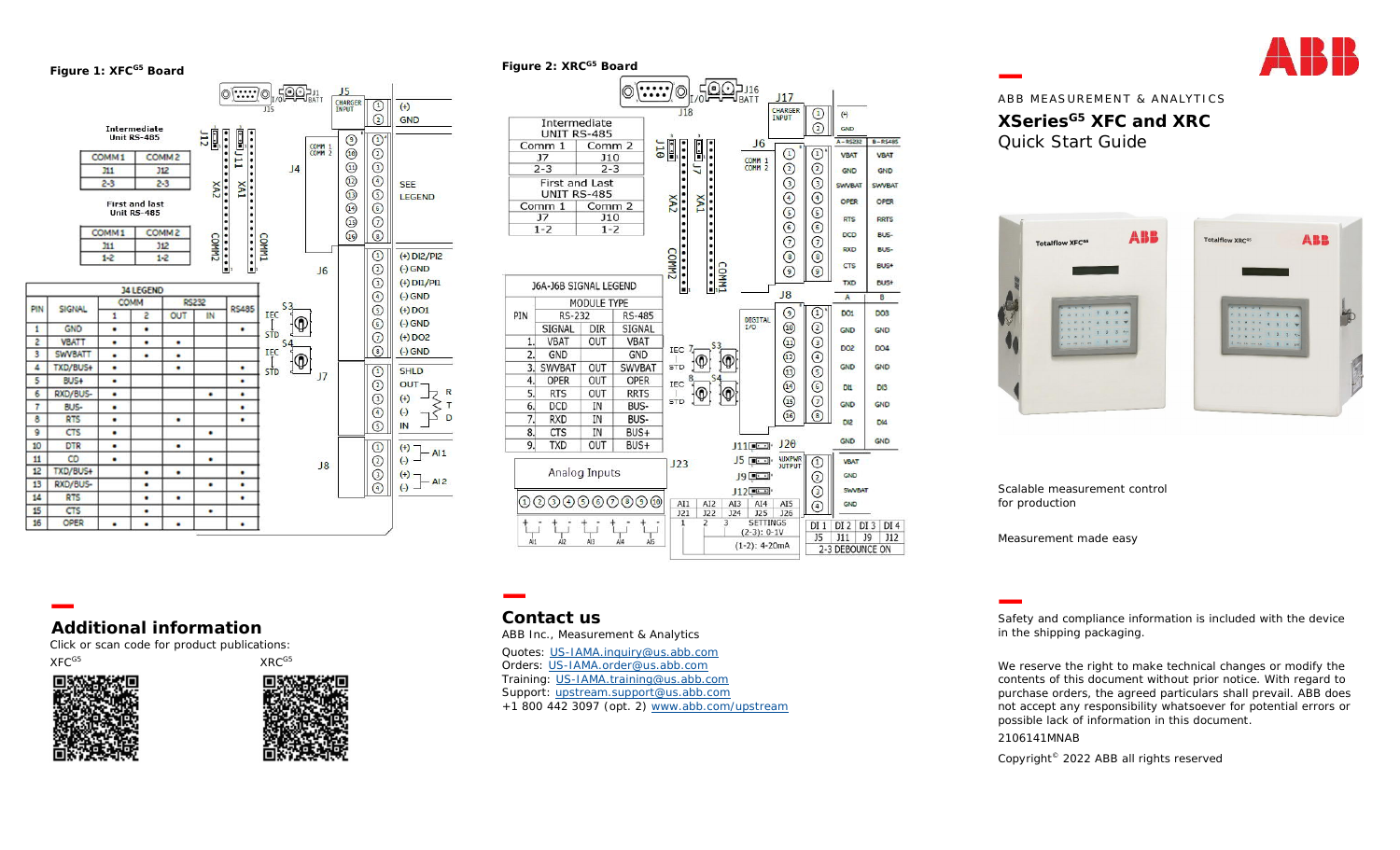**Figure 1: XFCG5 Board**





ABB MEASUREMENT & ANALYTICS **XSeriesG5 XFC and XRC**  Quick Start Guide



Scalable measurement control for production

Measurement made easy

**Additional information**

Click or scan code for product publications:

XFC<sup>G5</sup> XRC<sup>G5</sup>





# **Contact us**

ABB Inc., Measurement & Analytics

Quotes: US-IAMA.inquiry@us.abb.com Orders: US-IAMA.order@us.abb.com Training: US-IAMA.training@us.abb.com Support: upstream.support@us.abb.com +1 800 442 3097 (opt. 2) www.abb.com/upstream Safety and compliance information is included with the device in the shipping packaging.

We reserve the right to make technical changes or modify the contents of this document without prior notice. With regard to purchase orders, the agreed particulars shall prevail. ABB does not accept any responsibility whatsoever for potential errors or possible lack of information in this document.

## 2106141MNAB

Copyright© 2022 ABB all rights reserved